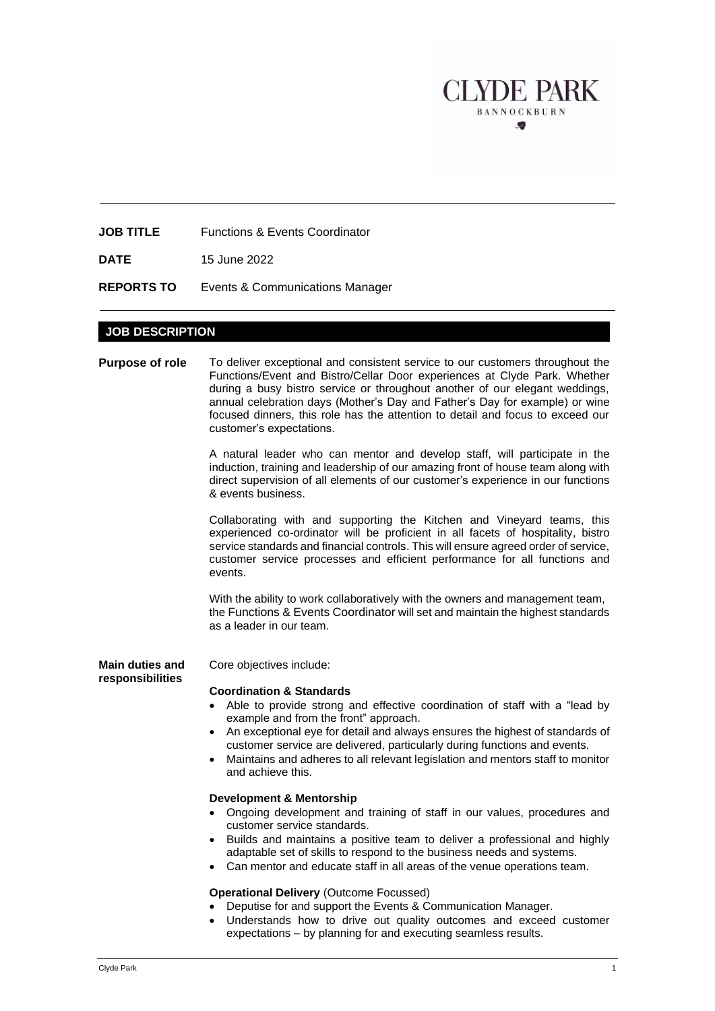

**DATE** 15 June 2022

**REPORTS TO** Events & Communications Manager

# **JOB DESCRIPTION**

| <b>Purpose of role</b>              | To deliver exceptional and consistent service to our customers throughout the<br>Functions/Event and Bistro/Cellar Door experiences at Clyde Park. Whether<br>during a busy bistro service or throughout another of our elegant weddings,<br>annual celebration days (Mother's Day and Father's Day for example) or wine<br>focused dinners, this role has the attention to detail and focus to exceed our<br>customer's expectations.                                                                                                                                                                                                                                                                                                                                                                                                                      |  |  |
|-------------------------------------|-------------------------------------------------------------------------------------------------------------------------------------------------------------------------------------------------------------------------------------------------------------------------------------------------------------------------------------------------------------------------------------------------------------------------------------------------------------------------------------------------------------------------------------------------------------------------------------------------------------------------------------------------------------------------------------------------------------------------------------------------------------------------------------------------------------------------------------------------------------|--|--|
|                                     | A natural leader who can mentor and develop staff, will participate in the<br>induction, training and leadership of our amazing front of house team along with<br>direct supervision of all elements of our customer's experience in our functions<br>& events business.                                                                                                                                                                                                                                                                                                                                                                                                                                                                                                                                                                                    |  |  |
|                                     | Collaborating with and supporting the Kitchen and Vineyard teams, this<br>experienced co-ordinator will be proficient in all facets of hospitality, bistro<br>service standards and financial controls. This will ensure agreed order of service,<br>customer service processes and efficient performance for all functions and<br>events.                                                                                                                                                                                                                                                                                                                                                                                                                                                                                                                  |  |  |
|                                     | With the ability to work collaboratively with the owners and management team,<br>the Functions & Events Coordinator will set and maintain the highest standards<br>as a leader in our team.                                                                                                                                                                                                                                                                                                                                                                                                                                                                                                                                                                                                                                                                 |  |  |
| Main duties and<br>responsibilities | Core objectives include:<br><b>Coordination &amp; Standards</b><br>Able to provide strong and effective coordination of staff with a "lead by<br>example and from the front" approach.<br>An exceptional eye for detail and always ensures the highest of standards of<br>customer service are delivered, particularly during functions and events.<br>Maintains and adheres to all relevant legislation and mentors staff to monitor<br>and achieve this.<br><b>Development &amp; Mentorship</b><br>Ongoing development and training of staff in our values, procedures and<br>$\bullet$<br>customer service standards.<br>• Builds and maintains a positive team to deliver a professional and highly<br>adaptable set of skills to respond to the business needs and systems.<br>Can mentor and educate staff in all areas of the venue operations team. |  |  |
|                                     | <b>Operational Delivery (Outcome Focussed)</b><br>Deputise for and support the Events & Communication Manager.<br>Understands how to drive out quality outcomes and exceed customer<br>expectations - by planning for and executing seamless results.                                                                                                                                                                                                                                                                                                                                                                                                                                                                                                                                                                                                       |  |  |

**CLYDE PARK**  $BANNOCKBURN$ ×,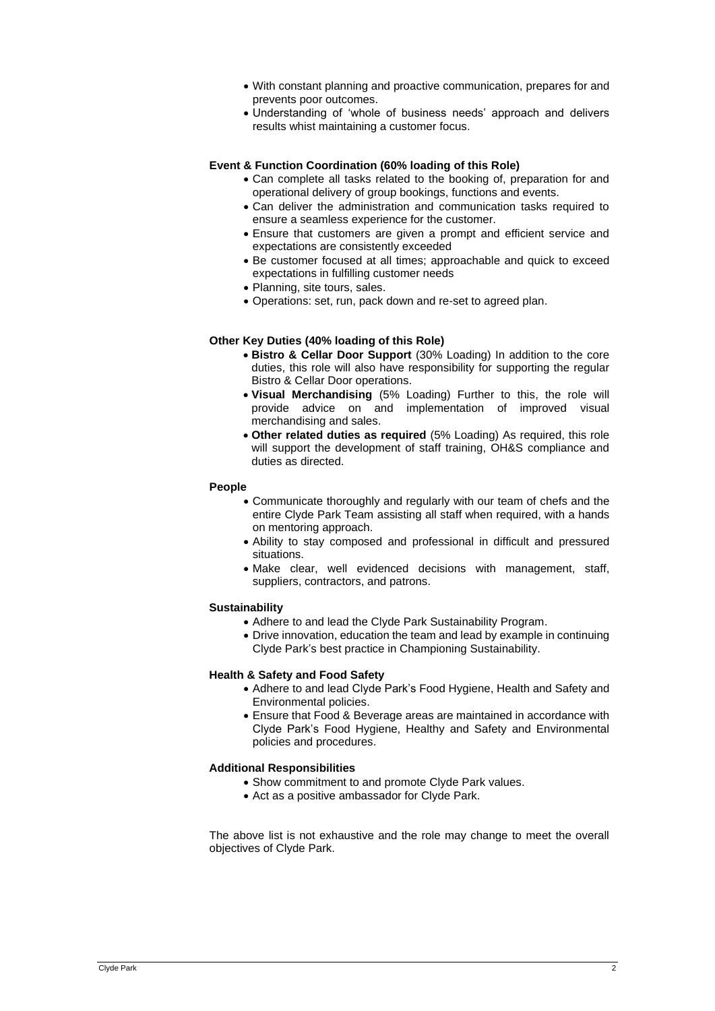- With constant planning and proactive communication, prepares for and prevents poor outcomes.
- Understanding of 'whole of business needs' approach and delivers results whist maintaining a customer focus.

### **Event & Function Coordination (60% loading of this Role)**

- Can complete all tasks related to the booking of, preparation for and operational delivery of group bookings, functions and events.
- Can deliver the administration and communication tasks required to ensure a seamless experience for the customer.
- Ensure that customers are given a prompt and efficient service and expectations are consistently exceeded
- Be customer focused at all times; approachable and quick to exceed expectations in fulfilling customer needs
- Planning, site tours, sales.
- Operations: set, run, pack down and re-set to agreed plan.

## **Other Key Duties (40% loading of this Role)**

- **Bistro & Cellar Door Support** (30% Loading) In addition to the core duties, this role will also have responsibility for supporting the regular Bistro & Cellar Door operations.
- **Visual Merchandising** (5% Loading) Further to this, the role will provide advice on and implementation of improved visual merchandising and sales.
- **Other related duties as required** (5% Loading) As required, this role will support the development of staff training, OH&S compliance and duties as directed.

#### **People**

- Communicate thoroughly and regularly with our team of chefs and the entire Clyde Park Team assisting all staff when required, with a hands on mentoring approach.
- Ability to stay composed and professional in difficult and pressured situations.
- Make clear, well evidenced decisions with management, staff, suppliers, contractors, and patrons.

#### **Sustainability**

- Adhere to and lead the Clyde Park Sustainability Program.
- Drive innovation, education the team and lead by example in continuing Clyde Park's best practice in Championing Sustainability.

#### **Health & Safety and Food Safety**

- Adhere to and lead Clyde Park's Food Hygiene, Health and Safety and Environmental policies.
- Ensure that Food & Beverage areas are maintained in accordance with Clyde Park's Food Hygiene, Healthy and Safety and Environmental policies and procedures.

## **Additional Responsibilities**

- Show commitment to and promote Clyde Park values.
- Act as a positive ambassador for Clyde Park.

The above list is not exhaustive and the role may change to meet the overall objectives of Clyde Park.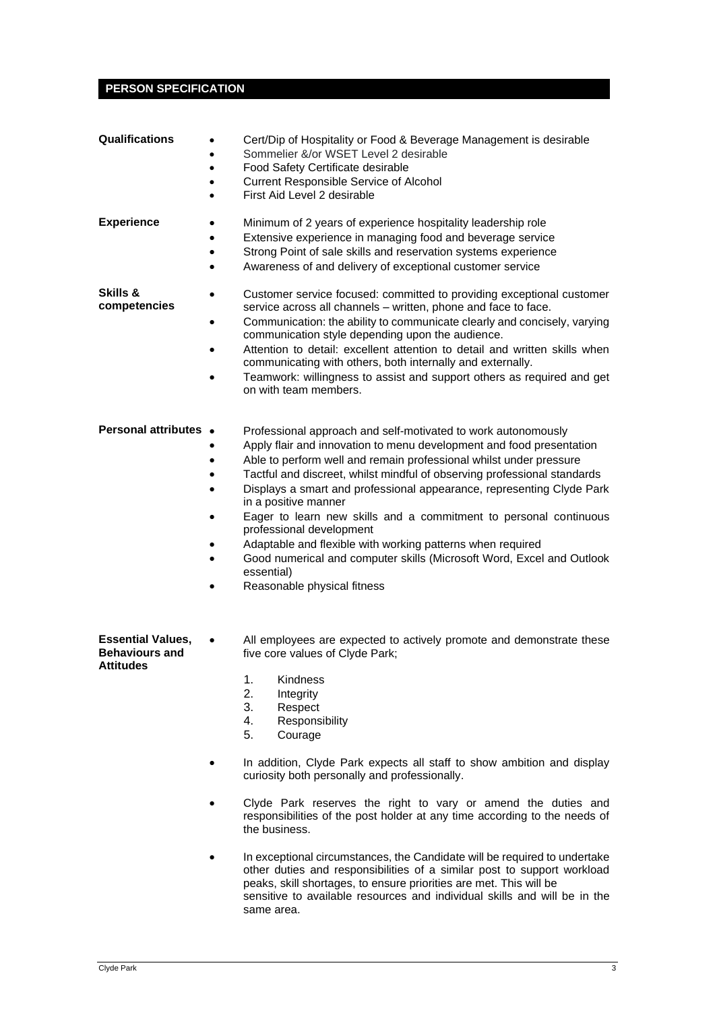## **PERSON SPECIFICATION**

| Qualifications                                                 | Cert/Dip of Hospitality or Food & Beverage Management is desirable<br>$\bullet$<br>Sommelier &/or WSET Level 2 desirable<br>Food Safety Certificate desirable<br>$\bullet$<br><b>Current Responsible Service of Alcohol</b><br>First Aid Level 2 desirable                                                                                                                                                                                                                                                                                                                                                                                                                                                                                                                                                                |
|----------------------------------------------------------------|---------------------------------------------------------------------------------------------------------------------------------------------------------------------------------------------------------------------------------------------------------------------------------------------------------------------------------------------------------------------------------------------------------------------------------------------------------------------------------------------------------------------------------------------------------------------------------------------------------------------------------------------------------------------------------------------------------------------------------------------------------------------------------------------------------------------------|
| <b>Experience</b>                                              | Minimum of 2 years of experience hospitality leadership role<br>Extensive experience in managing food and beverage service<br>Strong Point of sale skills and reservation systems experience<br>٠<br>Awareness of and delivery of exceptional customer service<br>٠                                                                                                                                                                                                                                                                                                                                                                                                                                                                                                                                                       |
| Skills &<br>competencies                                       | Customer service focused: committed to providing exceptional customer<br>service across all channels - written, phone and face to face.<br>Communication: the ability to communicate clearly and concisely, varying<br>٠<br>communication style depending upon the audience.<br>Attention to detail: excellent attention to detail and written skills when<br>communicating with others, both internally and externally.<br>Teamwork: willingness to assist and support others as required and get<br>on with team members.                                                                                                                                                                                                                                                                                               |
| <b>Personal attributes •</b>                                   | Professional approach and self-motivated to work autonomously<br>Apply flair and innovation to menu development and food presentation<br>٠<br>Able to perform well and remain professional whilst under pressure<br>٠<br>Tactful and discreet, whilst mindful of observing professional standards<br>Displays a smart and professional appearance, representing Clyde Park<br>$\bullet$<br>in a positive manner<br>Eager to learn new skills and a commitment to personal continuous<br>$\bullet$<br>professional development<br>Adaptable and flexible with working patterns when required<br>Good numerical and computer skills (Microsoft Word, Excel and Outlook<br>$\bullet$<br>essential)<br>Reasonable physical fitness                                                                                            |
| <b>Essential Values,</b><br><b>Behaviours and</b><br>Attitudes | All employees are expected to actively promote and demonstrate these<br>five core values of Clyde Park;<br>Kindness<br>1.<br>2.<br>Integrity<br>3.<br>Respect<br>4.<br>Responsibility<br>5.<br>Courage<br>In addition, Clyde Park expects all staff to show ambition and display<br>curiosity both personally and professionally.<br>Clyde Park reserves the right to vary or amend the duties and<br>responsibilities of the post holder at any time according to the needs of<br>the business.<br>In exceptional circumstances, the Candidate will be required to undertake<br>other duties and responsibilities of a similar post to support workload<br>peaks, skill shortages, to ensure priorities are met. This will be<br>sensitive to available resources and individual skills and will be in the<br>same area. |